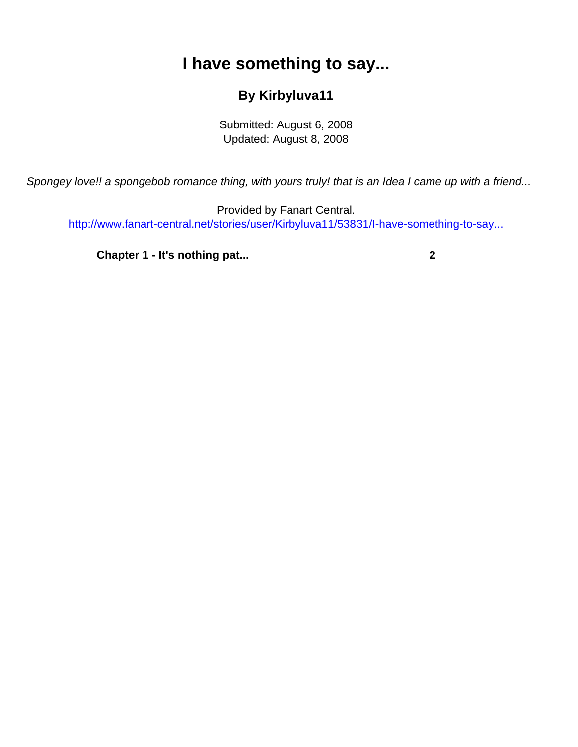## **I have something to say...**

## **By Kirbyluva11**

Submitted: August 6, 2008 Updated: August 8, 2008

<span id="page-0-0"></span>Spongey love!! a spongebob romance thing, with yours truly! that is an Idea I came up with a friend...

Provided by Fanart Central. [http://www.fanart-central.net/stories/user/Kirbyluva11/53831/I-have-something-to-say...](#page-0-0)

**[Chapter 1 - It's nothing pat...](#page-1-0)** [2](#page-1-0)